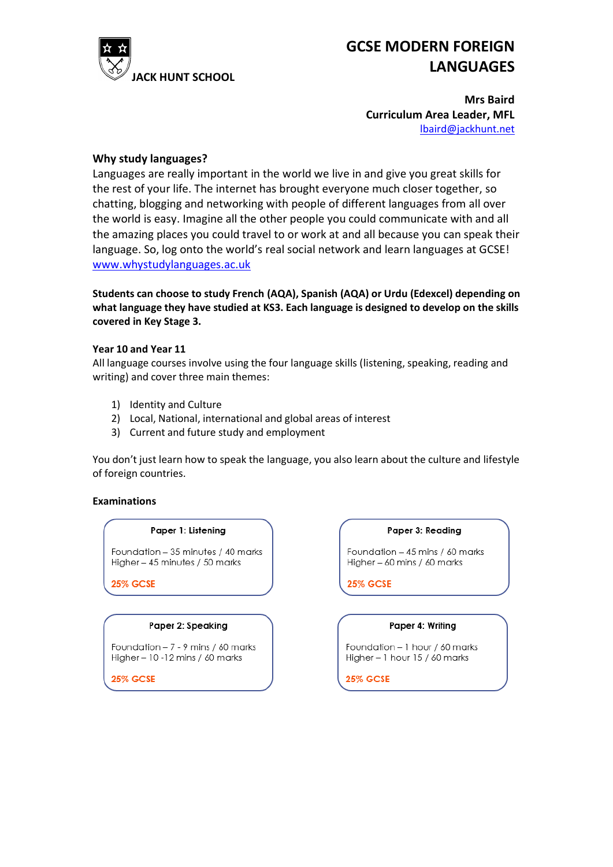

# **GCSE MODERN FOREIGN LANGUAGES**

**Mrs Baird Curriculum Area Leader, MFL** [lbaird@jackhunt.net](mailto:lbaird@jackhunt.net)

## **Why study languages?**

Languages are really important in the world we live in and give you great skills for the rest of your life. The internet has brought everyone much closer together, so chatting, blogging and networking with people of different languages from all over the world is easy. Imagine all the other people you could communicate with and all the amazing places you could travel to or work at and all because you can speak their language. So, log onto the world's real social network and learn languages at GCSE! [www.whystudylanguages.ac.uk](http://www.whystudylanguages.ac.uk/)

**Students can choose to study French (AQA), Spanish (AQA) or Urdu (Edexcel) depending on what language they have studied at KS3. Each language is designed to develop on the skills covered in Key Stage 3.**

### **Year 10 and Year 11**

All language courses involve using the four language skills (listening, speaking, reading and writing) and cover three main themes:

- 1) Identity and Culture
- 2) Local, National, international and global areas of interest
- 3) Current and future study and employment

You don't just learn how to speak the language, you also learn about the culture and lifestyle of foreign countries.

#### **Examinations**

#### Paper 1: Listening

Foundation - 35 minutes / 40 marks Higher - 45 minutes / 50 marks

**25% GCSE** 

#### Paper 2: Speaking

Foundation - 7 - 9 mins / 60 marks Higher - 10 - 12 mins / 60 marks

**25% GCSE** 

#### Paper 3: Reading

Foundation - 45 mins / 60 marks Higher - 60 mins / 60 marks

**25% GCSE** 

## Paper 4: Writing

Foundation - 1 hour / 60 marks Higher - 1 hour 15 / 60 marks

**25% GCSE**